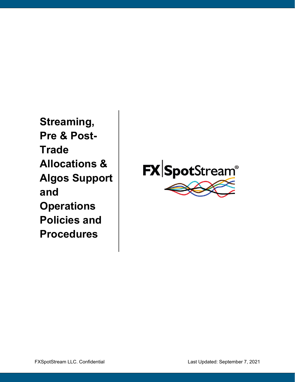**Streaming, Pre & Post-Trade Allocations & Algos Support and Operations Policies and Procedures**

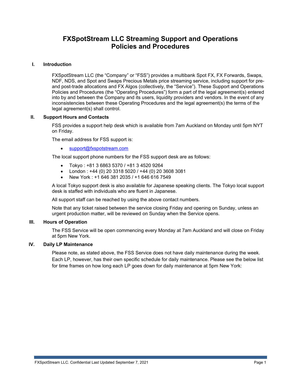# **FXSpotStream LLC Streaming Support and Operations Policies and Procedures**

#### **I. Introduction**

FXSpotStream LLC (the "Company" or "FSS") provides a multibank Spot FX, FX Forwards, Swaps, NDF, NDS, and Spot and Swaps Precious Metals price streaming service, including support for preand post-trade allocations and FX Algos (collectively, the "Service"). These Support and Operations Policies and Procedures (the "Operating Procedures") form a part of the legal agreement(s) entered into by and between the Company and its users, liquidity providers and vendors. In the event of any inconsistencies between these Operating Procedures and the legal agreement(s) the terms of the legal agreement(s) shall control.

#### **II. Support Hours and Contacts**

FSS provides a support help desk which is available from 7am Auckland on Monday until 5pm NYT on Friday.

The email address for FSS support is:

• [support@fxspotstream.com](mailto:support@fxspotstream.com)

The local support phone numbers for the FSS support desk are as follows:

- Tokyo : +81 3 6863 5370 / +81 3 4520 9264
- London : +44 (0) 20 3318 5020 / +44 (0) 20 3608 3081
- New York : +1 646 381 2035 / +1 646 616 7549

A local Tokyo support desk is also available for Japanese speaking clients. The Tokyo local support desk is staffed with individuals who are fluent in Japanese.

All support staff can be reached by using the above contact numbers.

Note that any ticket raised between the service closing Friday and opening on Sunday, unless an urgent production matter, will be reviewed on Sunday when the Service opens.

#### **III. Hours of Operation**

The FSS Service will be open commencing every Monday at 7am Auckland and will close on Friday at 5pm New York.

#### **IV. Daily LP Maintenance**

Please note, as stated above, the FSS Service does not have daily maintenance during the week. Each LP, however, has their own specific schedule for daily maintenance. Please see the below list for time frames on how long each LP goes down for daily maintenance at 5pm New York: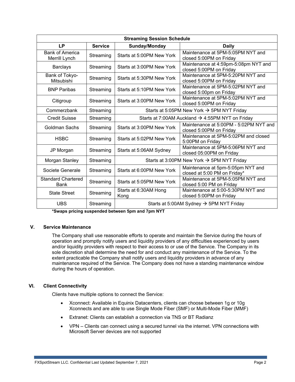| <b>Streaming Session Schedule</b>       |                |                                                              |                                                                   |  |  |  |
|-----------------------------------------|----------------|--------------------------------------------------------------|-------------------------------------------------------------------|--|--|--|
| <b>LP</b>                               | <b>Service</b> | Sunday/Monday                                                | <b>Daily</b>                                                      |  |  |  |
| <b>Bank of America</b><br>Merrill Lynch | Streaming      | Starts at 5:00PM New York                                    | Maintenance at 5PM-5:05PM NYT and<br>closed 5:00PM on Friday      |  |  |  |
| <b>Barclays</b>                         | Streaming      | Starts at 3:00PM New York                                    | Maintenance at 4:59pm-5:08pm NYT and<br>closed 5:00PM on Friday   |  |  |  |
| Bank of Tokyo-<br>Mitsubishi            | Streaming      | Starts at 5:30PM New York                                    | Maintenance at 5PM-5:20PM NYT and<br>closed 5:00PM on Friday      |  |  |  |
| <b>BNP Paribas</b>                      | Streaming      | Starts at 5:10PM New York                                    | Maintenance at 5PM-5:02PM NYT and<br>closed 5:00pm on Friday      |  |  |  |
| Citigroup                               | Streaming      | Starts at 3:00PM New York                                    | Maintenance at 5PM-5:02PM NYT and<br>closed 5:00PM on Friday      |  |  |  |
| Commerzbank                             | Streaming      | Starts at 5:05PM New York $\rightarrow$ 5PM NYT Friday       |                                                                   |  |  |  |
| <b>Credit Suisse</b>                    | Streaming      | Starts at 7:00AM Auckland $\rightarrow$ 4:55PM NYT on Friday |                                                                   |  |  |  |
| Goldman Sachs                           | Streaming      | Starts at 3:00PM New York                                    | Maintenance at 5:00PM - 5:02PM NYT and<br>closed 5:00PM on Friday |  |  |  |
| <b>HSBC</b>                             | Streaming      | Starts at 5:02PM New York                                    | Maintenance at 5PM-5:02PM and closed<br>5:00PM on Friday          |  |  |  |
| JP Morgan                               | Streaming      | Starts at 5:06AM Sydney                                      | Maintenance at 5PM-5:06PM NYT and<br>closed 05:00PM on Friday     |  |  |  |
| Morgan Stanley                          | Streaming      |                                                              | Starts at 3:00PM New York $\rightarrow$ 5PM NYT Friday            |  |  |  |
| Societe Generale                        | Streaming      | Starts at 6:00PM New York                                    | Maintenance at 5pm-5:05pm NYT and<br>closed at 5:00 PM on Friday* |  |  |  |
| <b>Standard Chartered</b><br>Bank       | Streaming      | Starts at 5:05PM New York                                    | Maintenance at 5PM-5:05PM NYT and<br>closed 5:00 PM on Friday     |  |  |  |
| <b>State Street</b>                     | Streaming      | Starts at 6:30AM Hong<br>Kong                                | Maintenance at 5:00-5:30PM NYT and<br>closed 5:00PM on Friday     |  |  |  |
| <b>UBS</b>                              | Streaming      | Starts at 5:00AM Sydney $\rightarrow$ 5PM NYT Friday         |                                                                   |  |  |  |

**\*Swaps pricing suspended between 5pm and 7pm NYT**

## **V. Service Maintenance**

The Company shall use reasonable efforts to operate and maintain the Service during the hours of operation and promptly notify users and liquidity providers of any difficulties experienced by users and/or liquidity providers with respect to their access to or use of the Service. The Company in its sole discretion shall determine the need for and conduct any maintenance of the Service. To the extent practicable the Company shall notify users and liquidity providers in advance of any maintenance required of the Service. The Company does not have a standing maintenance window during the hours of operation.

## **VI. Client Connectivity**

Clients have multiple options to connect the Service:

- Xconnect: Available in Equinix Datacenters, clients can choose between 1g or 10g Xconnects and are able to use Single Mode Fiber (SMF) or Multi-Mode Fiber (MMF)
- Extranet: Clients can establish a connection via TNS or BT Radianz
- VPN Clients can connect using a secured tunnel via the internet. VPN connections with Microsoft Server devices are not supported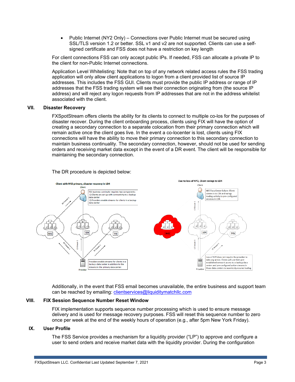• Public Internet (NY2 Only) – Connections over Public Internet must be secured using SSL/TLS version 1.2 or better. SSL v1 and v2 are not supported. Clients can use a selfsigned certificate and FSS does not have a restriction on key length

For client connections FSS can only accept public IPs. If needed, FSS can allocate a private IP to the client for non-Public Internet connections.

Application Level Whitelisting: Note that on top of any network related access rules the FSS trading application will only allow client applications to logon from a client provided list of source IP addresses. This includes the FSS GUI. Clients must provide the public IP address or range of IP addresses that the FSS trading system will see their connection originating from (the source IP address) and will reject any logon requests from IP addresses that are not in the address whitelist associated with the client.

#### **VII. Disaster Recovery**

FXSpotStream offers clients the ability for its clients to connect to multiple co-los for the purposes of disaster recover. During the client onboarding process, clients using FIX will have the option of creating a secondary connection to a separate colocation from their primary connection which will remain active once the client goes live. In the event a co-locenter is lost, clients using FIX connections will have the ability to move their primary connection to this secondary connection to maintain business continuality. The secondary connection, however, should not be used for sending orders and receiving market data except in the event of a DR event. The client will be responsible for maintaining the secondary connection.

The DR procedure is depicted below:



Additionally, in the event that FSS email becomes unavailable, the entire business and support team can be reached by emailing: *clientservices@liquiditymatchllc.com* 

#### **VIII. FIX Session Sequence Number Reset Window**

FIX implementation supports sequence number processing which is used to ensure message delivery and is used for message recovery purposes. FSS will reset this sequence number to zero once per week at the end of the weekly hours of operation (e.g., after 5pm New York Friday).

#### **IX. User Profile**

The FSS Service provides a mechanism for a liquidity provider ("LP") to approve and configure a user to send orders and receive market data with the liquidity provider. During the configuration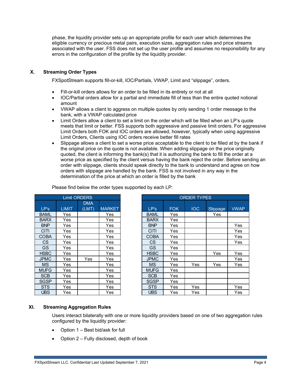phase, the liquidity provider sets up an appropriate profile for each user which determines the eligible currency or precious metal pairs, execution sizes, aggregation rules and price streams associated with the user. FSS does not set up the user profile and assumes no responsibility for any errors in the configuration of the profile by the liquidity provider.

## **X. Streaming Order Types**

FXSpotStream supports fill-or-kill, IOC/Partials, VWAP, Limit and "slippage", orders.

- Fill-or-kill orders allows for an order to be filled in its entirety or not at all
- IOC/Partial orders allow for a partial and immediate fill of less than the entire quoted notional amount
- VWAP allows a client to aggress on multiple quotes by only sending 1 order message to the bank, with a VWAP calculated price
- Limit Orders allow a client to set a limit on the order which will be filled when an LP's quote meets that limit or better. FSS supports both aggressive and passive limit orders. For aggressive Limit Orders both FOK and IOC orders are allowed, however, typically when using aggressive Limit Orders, Clients using IOC orders receive better fill rates
- Slippage allows a client to set a worse price acceptable to the client to be filled at by the bank if the original price on the quote is not available. When adding slippage on the price originally quoted, the client is informing the bank(s) that it is authorizing the bank to fill the order at a worse price as specified by the client versus having the bank reject the order. Before sending an order with slippage, clients should speak directly to the bank to understand and agree on how orders with slippage are handled by the bank. FSS is not involved in any way in the determination of the price at which an order is filled by the bank

|                |              | <b>Limit ORDERS</b> |               |
|----------------|--------------|---------------------|---------------|
|                |              | <b>DMA</b>          |               |
| LP's           | <b>LIMIT</b> | (LMT)               | <b>MARKET</b> |
| <b>BAML</b>    | Yes          |                     | Yes           |
| <b>BARX</b>    | Yes.         |                     | Yes           |
| <b>BNP</b>     | Yes          |                     | Yes           |
| <b>CITI</b>    | Yes          |                     | Yes           |
| <b>COBA</b>    | Yes          |                     | Yes           |
| C <sub>S</sub> | Yes          |                     | Yes           |
| <b>GS</b>      | Yes.         |                     | Yes           |
| <b>HSBC</b>    | Yes.         |                     | Yes           |
| <b>JPMC</b>    | Yes.         | Yes                 | Yes           |
| <b>MS</b>      | Yes          |                     | Yes           |
| <b>MUFG</b>    | Yes.         |                     | Yes           |
| <b>SCB</b>     | Yes          |                     | Yes           |
| <b>SGSP</b>    | Yes.         |                     | Yes           |
| <b>STS</b>     | Yes          |                     | Yes           |
| <b>UBS</b>     | Yes          |                     | Yes           |

Please find below the order types supported by each LP:

| <b>Limit ORDERS</b> |              |            |               |             | <b>ORDER TYPES</b> |            |          |             |
|---------------------|--------------|------------|---------------|-------------|--------------------|------------|----------|-------------|
|                     |              | <b>DMA</b> |               |             |                    |            |          |             |
| LP's                | <b>LIMIT</b> | (LMT)      | <b>MARKET</b> | LP's        | <b>FOK</b>         | <b>IOC</b> | Slippage | <b>VWAP</b> |
| <b>BAML</b>         | Yes          |            | Yes           | <b>BAML</b> | Yes                |            | Yes      |             |
| <b>BARX</b>         | Yes          |            | Yes           | <b>BARX</b> | Yes                |            |          |             |
| <b>BNP</b>          | Yes          |            | Yes           | <b>BNP</b>  | Yes                |            |          | Yes         |
| <b>CITI</b>         | Yes          |            | Yes           | <b>CITI</b> | Yes                |            |          | Yes         |
| COBA                | Yes          |            | Yes           | <b>COBA</b> | Yes                |            |          | Yes         |
| <b>CS</b>           | Yes          |            | Yes           | CS          | Yes                |            |          | Yes         |
| <b>GS</b>           | Yes          |            | Yes           | GS          | Yes                |            |          |             |
| <b>HSBC</b>         | Yes          |            | Yes           | <b>HSBC</b> | Yes                |            | Yes      | Yes         |
| <b>JPMC</b>         | Yes          | Yes        | Yes           | <b>JPMC</b> | Yes                |            |          | Yes         |
| <b>MS</b>           | Yes          |            | Yes           | ΜS          | Yes                | Yes        | Yes      | Yes         |
| MUFG                | Yes          |            | Yes           | <b>MUFG</b> | Yes                |            |          |             |
| <b>SCB</b>          | Yes          |            | Yes           | <b>SCB</b>  | Yes                |            |          |             |
| SGSP                | Yes          |            | Yes           | <b>SGSP</b> | Yes                |            |          |             |
| <b>STS</b>          | Yes          |            | Yes           | <b>STS</b>  | Yes                | Yes        |          | Yes         |
| <b>UBS</b>          | Yes          |            | Yes           | <b>UBS</b>  | Yes                | Yes        |          | Yes         |

## **XI. Streaming Aggregation Rules**

Users interact bilaterally with one or more liquidity providers based on one of two aggregation rules configured by the liquidity provider:

- Option 1 Best bid/ask for full
- Option 2 Fully disclosed, depth of book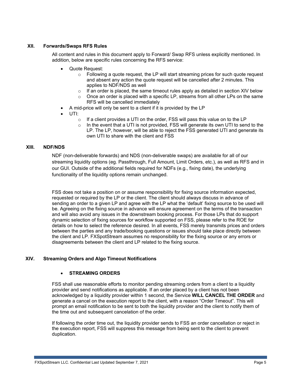## **XII. Forwards/Swaps RFS Rules**

All content and rules in this document apply to Forward/ Swap RFS unless explicitly mentioned. In addition, below are specific rules concerning the RFS service:

- Quote Request:
	- o Following a quote request, the LP will start streaming prices for such quote request and absent any action the quote request will be cancelled after 2 minutes. This applies to NDF/NDS as well
	- $\circ$  If an order is placed, the same timeout rules apply as detailed in section XIV below
	- Once an order is placed with a specific LP, streams from all other LPs on the same RFS will be cancelled immediately
- A mid-price will only be sent to a client if it is provided by the LP
- UTI:
	- If a client provides a UTI on the order, FSS will pass this value on to the LP
	- In the event that a UTI is not provided, FSS will generate its own UTI to send to the LP. The LP, however, will be able to reject the FSS generated UTI and generate its own UTI to share with the client and FSS

## **XIII. NDF/NDS**

NDF (non-deliverable forwards) and NDS (non-deliverable swaps) are available for all of our streaming liquidity options (eg. Passthrough, Full Amount, Limit Orders, etc.), as well as RFS and in our GUI. Outside of the additional fields required for NDFs (e.g., fixing date), the underlying functionality of the liquidity options remain unchanged.

FSS does not take a position on or assume responsibility for fixing source information expected, requested or required by the LP or the client. The client should always discuss in advance of sending an order to a given LP and agree with the LP what the 'default' fixing source to be used will be. Agreeing on the fixing source in advance will ensure agreement on the terms of the transaction and will also avoid any issues in the downstream booking process. For those LPs that do support dynamic selection of fixing sources for workflow supported on FSS, please refer to the ROE for details on how to select the reference desired. In all events, FSS merely transmits prices and orders between the parties and any trade/booking questions or issues should take place directly between the client and LP. FXSpotStream assumes no responsibility for the fixing source or any errors or disagreements between the client and LP related to the fixing source.

## **XIV. Streaming Orders and Algo Timeout Notifications**

## • **STREAMING ORDERS**

FSS shall use reasonable efforts to monitor pending streaming orders from a client to a liquidity provider and send notifications as applicable. If an order placed by a client has not been acknowledged by a liquidity provider within 1 second, the Service **WILL CANCEL THE ORDER** and generate a cancel on the execution report to the client, with a reason "Order Timeout". This will prompt an email notification to be sent to both the liquidity provider and the client to notify them of the time out and subsequent cancelation of the order.

If following the order time out, the liquidity provider sends to FSS an order cancellation or reject in the execution report, FSS will suppress this message from being sent to the client to prevent duplication.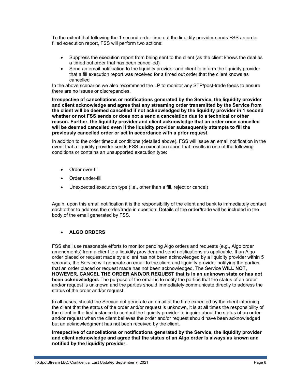To the extent that following the 1 second order time out the liquidity provider sends FSS an order filled execution report, FSS will perform two actions:

- Suppress the execution report from being sent to the client (as the client knows the deal as a timed out order that has been cancelled)
- Send an email notification to the liquidity provider and client to inform the liquidity provider that a fill execution report was received for a timed out order that the client knows as cancelled

In the above scenarios we also recommend the LP to monitor any STP/post-trade feeds to ensure there are no issues or discrepancies.

**Irrespective of cancellations or notifications generated by the Service, the liquidity provider and client acknowledge and agree that any streaming order transmitted by the Service from the client will be deemed cancelled if not acknowledged by the liquidity provider in 1 second whether or not FSS sends or does not a send a cancelation due to a technical or other reason. Further, the liquidity provider and client acknowledge that an order once cancelled will be deemed cancelled even if the liquidity provider subsequently attempts to fill the previously cancelled order or act in accordance with a prior request.**

In addition to the order timeout conditions (detailed above), FSS will issue an email notification in the event that a liquidity provider sends FSS an execution report that results in one of the following conditions or contains an unsupported execution type:

- Order over-fill
- Order under-fill
- Unexpected execution type (i.e., other than a fill, reject or cancel)

Again, upon this email notification it is the responsibility of the client and bank to immediately contact each other to address the order/trade in question. Details of the order/trade will be included in the body of the email generated by FSS.

## • **ALGO ORDERS**

FSS shall use reasonable efforts to monitor pending Algo orders and requests (e.g., Algo order amendments) from a client to a liquidity provider and send notifications as applicable. If an Algo order placed or request made by a client has not been acknowledged by a liquidity provider within 5 seconds, the Service will generate an email to the client and liquidity provider notifying the parties that an order placed or request made has not been acknowledged. The Service **WILL NOT, HOWEVER, CANCEL THE ORDER AND/OR REQUEST that is in an unknown state or has not been acknowledged.** The purpose of the email is to notify the parties that the status of an order and/or request is unknown and the parties should immediately communicate directly to address the status of the order and/or request.

In all cases, should the Service not generate an email at the time expected by the client informing the client that the status of the order and/or request is unknown, it is at all times the responsibility of the client in the first instance to contact the liquidity provider to inquire about the status of an order and/or request when the client believes the order and/or request should have been acknowledged but an acknowledgment has not been received by the client.

**Irrespective of cancellations or notifications generated by the Service, the liquidity provider and client acknowledge and agree that the status of an Algo order is always as known and notified by the liquidity provider.**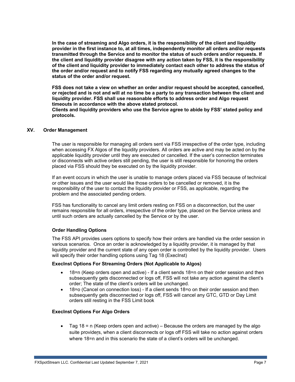**In the case of streaming and Algo orders, it is the responsibility of the client and liquidity provider in the first instance to, at all times, independently monitor all orders and/or requests transmitted through the Service and to monitor the status of such orders and/or requests. If the client and liquidity provider disagree with any action taken by FSS, it is the responsibility of the client and liquidity provider to immediately contact each other to address the status of the order and/or request and to notify FSS regarding any mutually agreed changes to the status of the order and/or request.** 

**FSS does not take a view on whether an order and/or request should be accepted, cancelled, or rejected and is not and will at no time be a party to any transaction between the client and liquidity provider. FSS shall use reasonable efforts to address order and Algo request timeouts in accordance with the above stated protocol.**

**Clients and liquidity providers who use the Service agree to abide by FSS' stated policy and protocols.**

## **XV. Order Management**

The user is responsible for managing all orders sent via FSS irrespective of the order type, including when accessing FX Algos of the liquidity providers. All orders are active and may be acted on by the applicable liquidity provider until they are executed or cancelled. If the user's connection terminates or disconnects with active orders still pending, the user is still responsible for honoring the orders placed via FSS should they be executed on by the liquidity provider.

If an event occurs in which the user is unable to manage orders placed via FSS because of technical or other issues and the user would like those orders to be cancelled or removed, it is the responsibility of the user to contact the liquidity provider or FSS, as applicable, regarding the problem and the associated pending orders.

FSS has functionality to cancel any limit orders resting on FSS on a disconnection, but the user remains responsible for all orders, irrespective of the order type, placed on the Service unless and until such orders are actually cancelled by the Service or by the user.

#### **Order Handling Options**

The FSS API provides users options to specify how their orders are handled via the order session in various scenarios. Once an order is acknowledged by a liquidity provider, it is managed by that liquidity provider and the current state of any open order is controlled by the liquidity provider. Users will specify their order handling options using Tag 18 (Execlnst)

#### **ExecInst Options For Streaming Orders (Not Applicable to Algos)**

- 18=n (Keep orders open and active) If a client sends 18=n on their order session and then subsequently gets disconnected or logs off, FSS will not take any action against the client's order; The state of the client's orders will be unchanged.
- 18=o (Cancel on connection loss) If a client sends 18=o on their order session and then subsequently gets disconnected or logs off, FSS will cancel any GTC, GTD or Day Limit orders still resting in the FSS Limit book

#### **ExecInst Options For Algo Orders**

• Tag 18 = n (Keep orders open and active) – Because the orders are managed by the algo suite providers, when a client disconnects or logs off FSS will take no action against orders where 18=n and in this scenario the state of a client's orders will be unchanged.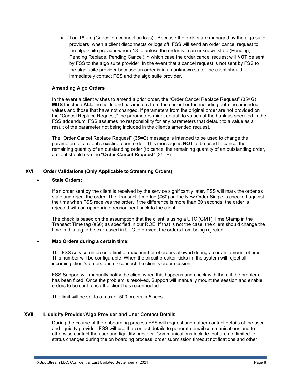• Tag 18 =  $\circ$  (Cancel on connection loss) - Because the orders are managed by the algo suite providers, when a client disconnects or logs off, FSS will send an order cancel request to the algo suite provider where 18=o unless the order is in an unknown state (Pending, Pending Replace, Pending Cancel) in which case the order cancel request will **NOT** be sent by FSS to the algo suite provider. In the event that a cancel request is not sent by FSS to the algo suite provider because an order is in an unknown state, the client should immediately contact FSS and the algo suite provider.

#### **Amending Algo Orders**

In the event a client wishes to amend a prior order, the "Order Cancel Replace Request" (35=G) **MUST** include **ALL** the fields and parameters from the current order, including both the amended values and those that have not changed. If parameters from the original order are not provided on the "Cancel Replace Request," the parameters might default to values at the bank as specified in the FSS addendum. FSS assumes no responsibility for any parameters that default to a value as a result of the parameter not being included in the client's amended request.

The "Order Cancel Replace Request" (35=G) message is intended to be used to change the parameters of a client's existing open order. This message is **NOT** to be used to cancel the remaining quantity of an outstanding order (to cancel the remaining quantity of an outstanding order, a client should use the "**Order Cancel Request***"* (35=F).

## **XVI. Order Validations (Only Applicable to Streaming Orders)**

#### • **Stale Orders:**

If an order sent by the client is received by the service significantly later, FSS will mark the order as stale and reject the order. The Transact Time tag (#60) on the New Order Single is checked against the time when FSS receives the order. If the difference is more than 60 seconds, the order is rejected with an appropriate reason sent back to the client.

The check is based on the assumption that the client is using a UTC (GMT) Time Stamp in the Transact Time tag (#60) as specified in our ROE. If that is not the case, the client should change the time in this tag to be expressed in UTC to prevent the orders from being rejected.

#### • **Max Orders during a certain time:**

The FSS service enforces a limit of max number of orders allowed during a certain amount of time. This number will be configurable. When the circuit breaker kicks in, the system will reject all incoming client's orders and disconnect the client's order session.

FSS Support will manually notify the client when this happens and check with them if the problem has been fixed. Once the problem is resolved, Support will manually mount the session and enable orders to be sent, once the client has reconnected.

The limit will be set to a max of 500 orders in 5 secs.

#### **XVII. Liquidity Provider/Algo Provider and User Contact Details**

During the course of the onboarding process FSS will request and gather contact details of the user and liquidity provider. FSS will use the contact details to generate email communications and to otherwise contact the user and liquidity provider. Communications include, but are not limited to, status changes during the on boarding process, order submission timeout notifications and other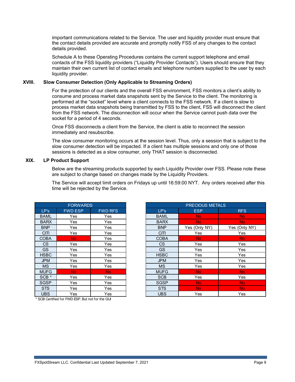important communications related to the Service. The user and liquidity provider must ensure that the contact details provided are accurate and promptly notify FSS of any changes to the contact details provided.

Schedule A to these Operating Procedures contains the current support telephone and email contacts of the FSS liquidity providers ("Liquidity Provider Contacts"). Users should ensure that they maintain their own current list of contact emails and telephone numbers supplied to the user by each liquidity provider.

## **XVIII. Slow Consumer Detection (Only Applicable to Streaming Orders)**

For the protection of our clients and the overall FSS environment, FSS monitors a client's ability to consume and process market data snapshots sent by the Service to the client. The monitoring is performed at the "socket" level where a client connects to the FSS network. If a client is slow to process market data snapshots being transmitted by FSS to the client, FSS will disconnect the client from the FSS network. The disconnection will occur when the Service cannot push data over the socket for a period of 4 seconds.

Once FSS disconnects a client from the Service, the client is able to reconnect the session immediately and resubscribe.

The slow consumer monitoring occurs at the session level. Thus, only a session that is subject to the slow consumer detection will be impacted. If a client has multiple sessions and only one of those sessions is detected as a slow consumer, only THAT session is disconnected.

### **XIX. LP Product Support**

Below are the streaming products supported by each Liquidity Provider over FSS. Please note these are subject to change based on changes made by the Liquidity Providers.

The Service will accept limit orders on Fridays up until 16:59:00 NYT. Any orders received after this time will be rejected by the Service.

| <b>FORWARDS</b>  |                |                |  |  |  |  |
|------------------|----------------|----------------|--|--|--|--|
| LP's             | <b>FWD ESP</b> | <b>FWD RFS</b> |  |  |  |  |
| BAML             | Yes            | Yes            |  |  |  |  |
| <b>BARX</b>      | Yes            | Yes            |  |  |  |  |
| <b>BNP</b>       | Yes            | Yes            |  |  |  |  |
| <b>CITI</b>      | Yes            | Yes            |  |  |  |  |
| <b>COBA</b>      | <b>No</b>      | Yes            |  |  |  |  |
| CS               | Yes            | Yes            |  |  |  |  |
| GS               | Yes            | Yes            |  |  |  |  |
| HSBC             | Yes            | Yes            |  |  |  |  |
| <b>JPM</b>       | Yes            | Yes            |  |  |  |  |
| MS               | Yes            | Yes            |  |  |  |  |
| <b>MUFG</b>      | No             | No             |  |  |  |  |
| SCB <sup>*</sup> | Yes            | Yes            |  |  |  |  |
| SGSP             | Yes            | Yes            |  |  |  |  |
| <b>STS</b>       | Yes            | Yes            |  |  |  |  |
| UBS              | Yes            | Yes            |  |  |  |  |

|                  | <b>FORWARDS</b> |                |             | <b>PRECIOUS METALS</b> |               |
|------------------|-----------------|----------------|-------------|------------------------|---------------|
| LP's             | <b>FWD ESP</b>  | <b>FWD RFS</b> | LP's        | <b>ESP</b>             | <b>RFS</b>    |
| <b>BAML</b>      | Yes             | Yes            | <b>BAML</b> | <b>No</b>              | <b>No</b>     |
| <b>BARX</b>      | Yes             | Yes            | <b>BARX</b> | No.                    | No.           |
| <b>BNP</b>       | Yes             | Yes            | <b>BNP</b>  | Yes (Only NY)          | Yes (Only NY) |
| <b>CITI</b>      | Yes             | Yes            | <b>CITI</b> | Yes                    | Yes           |
| <b>COBA</b>      | No.             | Yes            | <b>COBA</b> | No.                    | <b>No</b>     |
| CS               | Yes             | Yes            | <b>CS</b>   | Yes                    | Yes           |
| <b>GS</b>        | Yes             | Yes            | <b>GS</b>   | Yes                    | Yes           |
| <b>HSBC</b>      | Yes             | Yes            | <b>HSBC</b> | Yes                    | Yes           |
| <b>JPM</b>       | Yes             | Yes            | <b>JPM</b>  | Yes                    | Yes           |
| <b>MS</b>        | Yes             | Yes            | <b>MS</b>   | Yes                    | Yes           |
| <b>MUFG</b>      | No.             | N <sub>o</sub> | <b>MUFG</b> | No.                    | <b>No</b>     |
| SCB <sup>*</sup> | Yes             | Yes            | <b>SCB</b>  | Yes                    | Yes           |
| <b>SGSP</b>      | Yes             | Yes            | <b>SGSP</b> | No.                    | <b>No</b>     |
| <b>STS</b>       | Yes             | Yes            | <b>STS</b>  | No.                    | <b>No</b>     |
| <b>UBS</b>       | Yes             | Yes            | <b>UBS</b>  | Yes                    | Yes           |

\* SCB Certified for FWD ESP. But not for the GUI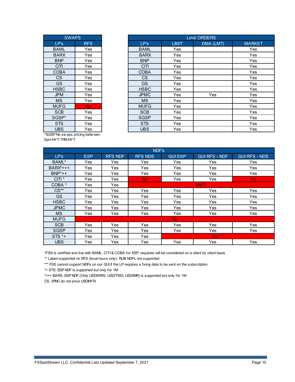| <b>SWAPS</b> |            |  |  |  |
|--------------|------------|--|--|--|
| LP's         | <b>RFS</b> |  |  |  |
| BAML         | Yes        |  |  |  |
| <b>BARX</b>  | Yes        |  |  |  |
| <b>BNP</b>   | Yes        |  |  |  |
| <b>CITI</b>  | Yes        |  |  |  |
| COBA         | Yes        |  |  |  |
| CS           | Yes        |  |  |  |
| GS.          | Yes        |  |  |  |
| HSBC         | Yes        |  |  |  |
| <b>JPM</b>   | Yes        |  |  |  |
| МS           | Yes        |  |  |  |
| <b>MUFG</b>  | <b>No</b>  |  |  |  |
| <b>SCB</b>   | Yes        |  |  |  |
| SGSP*        | Yes        |  |  |  |
| <b>STS</b>   | Yes        |  |  |  |
| UBS          | Yes        |  |  |  |
| <b></b>      |            |  |  |  |

| <b>SWAPS</b> |            | <b>Limit ORDERS</b> |              |           |               |
|--------------|------------|---------------------|--------------|-----------|---------------|
| LP's         | <b>RFS</b> | LP's                | <b>LIMIT</b> | DMA (LMT) | <b>MARKET</b> |
| <b>BAML</b>  | Yes        | <b>BAML</b>         | Yes          |           | Yes           |
| <b>BARX</b>  | Yes        | <b>BARX</b>         | <b>Yes</b>   |           | Yes           |
| <b>BNP</b>   | Yes        | <b>BNP</b>          | <b>Yes</b>   |           | Yes           |
| <b>CITI</b>  | Yes        | <b>CITI</b>         | Yes          |           | Yes           |
| <b>COBA</b>  | Yes        | <b>COBA</b>         | Yes          |           | Yes           |
| CS           | Yes        | CS.                 | Yes          |           | Yes           |
| <b>GS</b>    | Yes        | <b>GS</b>           | Yes          |           | Yes           |
| <b>HSBC</b>  | Yes        | <b>HSBC</b>         | Yes          |           | Yes           |
| <b>JPM</b>   | Yes        | <b>JPMC</b>         | <b>Yes</b>   | Yes       | Yes           |
| <b>MS</b>    | Yes        | <b>MS</b>           | Yes          |           | Yes           |
| <b>MUFG</b>  | No.        | <b>MUFG</b>         | Yes          |           | Yes           |
| <b>SCB</b>   | Yes        | <b>SCB</b>          | Yes          |           | Yes           |
| SGSP*        | Yes        | <b>SGSP</b>         | Yes          |           | Yes           |
| <b>STS</b>   | Yes        | <b>STS</b>          | Yes          |           | Yes           |
| <b>UBS</b>   | Yes        | <b>UBS</b>          | Yes          |           | Yes           |

\*SGSP No sw aps pricing betw een 5pm NYT-7PM NYT

|                   |            |                | NDF's          |                |                      |                      |
|-------------------|------------|----------------|----------------|----------------|----------------------|----------------------|
| LP's              | <b>ESP</b> | <b>RFS NDF</b> | <b>RFS NDS</b> | <b>GUI ESP</b> | <b>GUI RFS - NDF</b> | <b>GUI RFS - NDS</b> |
| BAML*             | Yes        | Yes            | Yes            | Yes            | Yes                  | Yes                  |
| $BARX^*++$        | Yes        | Yes            | Yes            | Yes            | Yes                  | Yes                  |
| $BNP^*++$         | Yes        | Yes            | Yes            | Yes            | Yes                  | Yes                  |
| CITI <sup>*</sup> | Yes        | Yes            | No.            | Yes            | Yes                  | No.                  |
| COBA *            | Yes.       | Yes            |                |                | $No***$              |                      |
| $CS**$            | Yes        | Yes            | Yes            | Yes            | Yes                  | Yes                  |
| <b>GS</b>         | Yes        | Yes            | Yes            | Yes            | Yes                  | Yes                  |
| <b>HSBC</b>       | Yes        | Yes            | Yes            | Yes            | Yes                  | Yes                  |
| <b>JPMC</b>       | Yes.       | Yes            | Yes            | Yes            | Yes                  | Yes                  |
| <b>MS</b>         | Yes        | Yes            | Yes            | Yes            | Yes                  | Yes                  |
| <b>MUFG</b>       |            |                |                | No.            |                      |                      |
| <b>SCB</b>        | Yes        | Yes            | Yes            | Yes            | Yes                  | Yes                  |
| <b>SGSP</b>       | Yes.       | Yes            | Yes            | Yes            | Yes                  | Yes                  |
| $STS *+$          | Yes        | Yes            | Yes            |                | No****               |                      |
| <b>UBS</b>        | Yes        | Yes            | Yes            | Yes            | Yes                  | Yes                  |

\*FSS is certified and live with BAML, CITI & COBA for ESP, requests will be considered on a client by client basis

\*\* Latam supported on RFS (local hours only). RUB NDFs not supported

\*\*\* FSS cannot support NDFs on our GUI if the LP requires a fixing date to be sent on the subscription

\*+ STS: ESP NDF is supported but only for 1M

\*+++ BARX: ESP NDF (Only USD/KRW, USD/TWD, USD/INR) is supported but only for 1M

CS, JPMC do not price USDMYR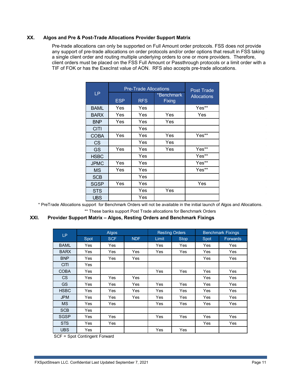## **XX. Algos and Pre & Post-Trade Allocations Provider Support Matrix**

Pre-trade allocations can only be supported on Full Amount order protocols. FSS does not provide any support of pre-trade allocations on order protocols and/or order options that result in FSS taking a single client order and routing multiple underlying orders to one or more providers. Therefore, client orders must be placed on the FSS Full Amount or Passthrough protocols or a limit order with a TIF of FOK or has the ExecInst value of AON. RFS also accepts pre-trade allocations.

|             | <b>Pre-Trade Allocations</b> | <b>Post Trade</b> |                      |                    |
|-------------|------------------------------|-------------------|----------------------|--------------------|
| <b>LP</b>   | <b>ESP</b>                   | <b>RFS</b>        | *Benchmark<br>Fixing | <b>Allocations</b> |
| <b>BAML</b> | Yes                          | Yes               |                      | Yes**              |
| <b>BARX</b> | Yes                          | Yes               | Yes                  | Yes                |
| <b>BNP</b>  | Yes                          | Yes               | Yes                  |                    |
| <b>CITI</b> |                              | Yes               |                      |                    |
| <b>COBA</b> | Yes                          | Yes               | Yes                  | Yes**              |
| <b>CS</b>   |                              | Yes               | Yes                  |                    |
| GS          | Yes                          | Yes               | Yes                  | Yes**              |
| <b>HSBC</b> |                              | Yes               |                      | Yes**              |
| <b>JPMC</b> | Yes                          | Yes               |                      | Yes**              |
| <b>MS</b>   | Yes                          | Yes               |                      | Yes**              |
| <b>SCB</b>  |                              | Yes               |                      |                    |
| <b>SGSP</b> | Yes                          | Yes               |                      | Yes                |
| <b>STS</b>  |                              | Yes               | Yes                  |                    |
| <b>UBS</b>  |                              | Yes               |                      |                    |

\* PreTrade Allocations support for Benchmark Orders will not be available in the initial launch of Algos and Allocations.

\*\* These banks support Post Trade allocations for Benchmark Orders

#### **XXI. Provider Support Matrix – Algos, Resting Orders and Benchmark Fixings**

|             | Algos      |            |            | <b>Resting Orders</b> |             | <b>Benchmark Fixings</b> |                 |
|-------------|------------|------------|------------|-----------------------|-------------|--------------------------|-----------------|
| LP          | Spot       | <b>SCF</b> | <b>NDF</b> | Limit                 | <b>Stop</b> | Spot                     | <b>Forwards</b> |
| <b>BAML</b> | Yes        | Yes        |            | Yes                   | Yes         | Yes                      | Yes             |
| <b>BARX</b> | Yes        | Yes        | Yes        | Yes                   | Yes         | Yes                      | Yes             |
| <b>BNP</b>  | Yes        | Yes        | Yes        |                       |             | Yes                      | Yes             |
| <b>CITI</b> | <b>Yes</b> |            |            |                       |             |                          |                 |
| <b>COBA</b> | Yes        |            |            | Yes                   | Yes         | Yes                      | Yes             |
| CS          | Yes        | Yes        | Yes        |                       |             | Yes                      | Yes             |
| <b>GS</b>   | Yes        | <b>Yes</b> | Yes        | <b>Yes</b>            | Yes         | Yes                      | Yes             |
| <b>HSBC</b> | Yes        | Yes        | Yes        | Yes                   | Yes         | Yes                      | Yes             |
| <b>JPM</b>  | Yes        | Yes        | Yes        | Yes                   | Yes         | Yes                      | Yes             |
| <b>MS</b>   | Yes        | Yes        |            | Yes                   | Yes         | Yes                      | Yes             |
| <b>SCB</b>  | Yes        |            |            |                       |             |                          |                 |
| <b>SGSP</b> | Yes        | Yes        |            | Yes                   | Yes         | Yes                      | Yes             |
| <b>STS</b>  | Yes        | Yes        |            |                       |             | Yes                      | Yes             |
| <b>UBS</b>  | Yes        |            |            | Yes                   | Yes         |                          |                 |

SCF = Spot Contingent Forward

J.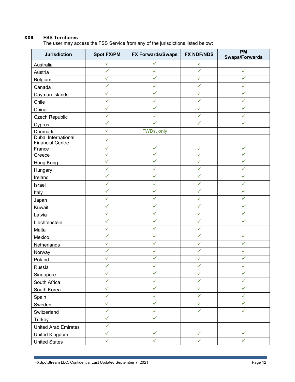# **XXII. FSS Territories**

The user may access the FSS Service from any of the jurisdictions listed below:

| <b>Jurisdiction</b>                            | <b>Spot FX/PM</b> | <b>FX Forwards/Swaps</b> | <b>FX NDF/NDS</b> | <b>PM</b><br><b>Swaps/Forwards</b> |
|------------------------------------------------|-------------------|--------------------------|-------------------|------------------------------------|
| Australia                                      | ✓                 | ✓                        | ✓                 |                                    |
| Austria                                        | $\checkmark$      | $\checkmark$             | $\checkmark$      | $\checkmark$                       |
| Belgium                                        | ✓                 | ✓                        | ✓                 | ✓                                  |
| Canada                                         | ✓                 | ✓                        | ✓                 | ✓                                  |
| Cayman Islands                                 | $\checkmark$      | ✓                        | $\checkmark$      | ✓                                  |
| Chile                                          | ✓                 | ✓                        | ✓                 | ✓                                  |
| China                                          | $\checkmark$      | ✓                        | ✓                 | ✓                                  |
| Czech Republic                                 | $\checkmark$      | ✓                        | $\checkmark$      | ✓                                  |
| Cyprus                                         | ✓                 | ✓                        | ✓                 | ✓                                  |
| Denmark                                        | $\checkmark$      | FWDs, only               |                   |                                    |
| Dubai International<br><b>Financial Centre</b> | $\checkmark$      |                          |                   |                                    |
| France                                         | ✓                 | ✓                        | ✓                 | ✓                                  |
| Greece                                         | ✓                 | $\checkmark$             | ✓                 | $\checkmark$                       |
| Hong Kong                                      | ✓                 | ✓                        | ✓                 | ✓                                  |
| Hungary                                        | $\checkmark$      | $\checkmark$             | $\checkmark$      | ✓                                  |
| Ireland                                        | $\checkmark$      | $\checkmark$             | $\checkmark$      | ✓                                  |
| Israel                                         | $\checkmark$      | ✓                        | $\checkmark$      | ✓                                  |
| Italy                                          | ✓                 | ✓                        | ✓                 | ✓                                  |
| Japan                                          | $\checkmark$      | $\checkmark$             | ✓                 | ✓                                  |
| Kuwait                                         | $\checkmark$      | ✓                        | ✓                 | ✓                                  |
| Latvia                                         | ✓                 | ✓                        | ✓                 | ✓                                  |
| Liechtenstein                                  | $\checkmark$      | $\checkmark$             | $\checkmark$      | ✓                                  |
| Malta                                          | $\checkmark$      | ✓                        | $\checkmark$      |                                    |
| Mexico                                         | $\checkmark$      | ✓                        | ✓                 | ✓                                  |
| Netherlands                                    | $\checkmark$      | $\checkmark$             | $\checkmark$      | $\checkmark$                       |
| Norway                                         | ✓                 | ✓                        | ✓                 | ✓                                  |
| Poland                                         | ✓                 | ✓                        | ✓                 | ✓                                  |
| Russia                                         | ✓                 | ✓                        | ✓                 | ✓                                  |
| Singapore                                      | $\checkmark$      | $\checkmark$             | $\checkmark$      | ✓                                  |
| South Africa                                   | ✓                 | $\checkmark$             | $\checkmark$      | ✓                                  |
| South Korea                                    | $\checkmark$      | $\checkmark$             | $\checkmark$      | ✓                                  |
| Spain                                          | $\checkmark$      | $\checkmark$             | $\checkmark$      | ✓                                  |
| Sweden                                         | $\checkmark$      | $\checkmark$             | $\checkmark$      | ✓                                  |
| Switzerland                                    | $\checkmark$      | $\checkmark$             | $\checkmark$      | $\checkmark$                       |
| Turkey                                         | $\checkmark$      | $\checkmark$             |                   |                                    |
| <b>United Arab Emirates</b>                    | $\checkmark$      |                          |                   |                                    |
| <b>United Kingdom</b>                          | $\checkmark$      | $\checkmark$             | $\checkmark$      | $\checkmark$                       |
| <b>United States</b>                           | ✓                 | ✓                        | $\checkmark$      | ✓                                  |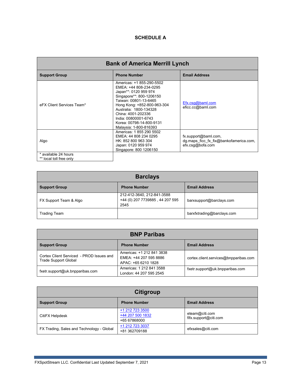## **SCHEDULE A**

| <b>Bank of America Merrill Lynch</b>            |                                                                                                                                                                                                                                                                                                |                                                                                    |  |  |
|-------------------------------------------------|------------------------------------------------------------------------------------------------------------------------------------------------------------------------------------------------------------------------------------------------------------------------------------------------|------------------------------------------------------------------------------------|--|--|
| <b>Support Group</b>                            | <b>Phone Number</b>                                                                                                                                                                                                                                                                            | <b>Email Address</b>                                                               |  |  |
| eFX Client Services Team*                       | Americas: +1 855-290-5502<br>EMEA: +44 808-234-0295<br>Japan**: 0120 959 974<br>Singapore**: 800-1206150<br>Taiwan: 00801-13-6465<br>Hong Kong: +852-800-963-304<br>Australia: 1800-134328<br>China: 4001-202336<br>India: 00800001-6743<br>Korea: 00798-14-800-9131<br>Malaysia: 1-800-816393 | Efx.csq@bam.com<br>eficc.cc@baml.com                                               |  |  |
| Algo                                            | Americas: 1855 290 5502<br>EMEA: 44 808 234 0295<br>HK: 852 800 963 304<br>Japan: 0120 959 974<br>Singapore: 800 1206150                                                                                                                                                                       | fx.support@baml.com,<br>dg.maps ficc fx fix@bankofamerica.com,<br>efx.csg@bofa.com |  |  |
| * available 24 hours<br>** local toll free only |                                                                                                                                                                                                                                                                                                |                                                                                    |  |  |

| <b>Barclays</b>        |                                                                       |                            |
|------------------------|-----------------------------------------------------------------------|----------------------------|
| <b>Support Group</b>   | <b>Phone Number</b>                                                   | <b>Email Address</b>       |
| FX Support Team & Algo | 212-412-3640, 212-841-3588<br>+44 (0) 207 7739885, 44 207 595<br>2545 | barxsupport@barclays.com   |
| <b>Trading Team</b>    |                                                                       | barxfxtrading@barclays.com |

| <b>BNP Paribas</b>                                                      |                                                                            |                                       |
|-------------------------------------------------------------------------|----------------------------------------------------------------------------|---------------------------------------|
| <b>Support Group</b>                                                    | <b>Phone Number</b>                                                        | <b>Email Address</b>                  |
| Cortex Client Serviced - PROD Issues and<br><b>Trade Support Global</b> | Americas: +1 212 841 3838<br>EMEA: +44 207 595 8886<br>APAC: +65 6210 1828 | cortex.client.services@bnpparibas.com |
| fxetr.support@uk.bnpparibas.com                                         | Americas: 1 212 841 3588<br>London: 44 207 595 2545                        | fxetr.support@uk.bnpparibas.com       |

| Citigroup                                 |                                                     |                                         |
|-------------------------------------------|-----------------------------------------------------|-----------------------------------------|
| <b>Support Group</b>                      | <b>Phone Number</b>                                 | <b>Email Address</b>                    |
| CitiFX Helpdesk                           | +1 212 723 3500<br>+44 207 500 1832<br>+65 67868000 | eteam@citi.com<br>fifx.support@citi.com |
| FX Trading, Sales and Technology - Global | +1 212 723 3037<br>+81 362709188                    | efxsales@citi.com                       |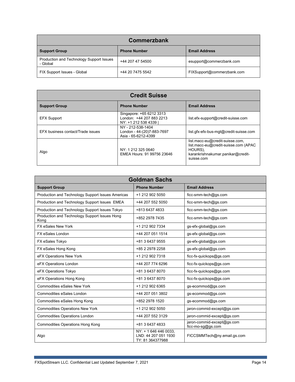| Commerzbank                                          |                     |                            |  |
|------------------------------------------------------|---------------------|----------------------------|--|
| <b>Support Group</b>                                 | <b>Phone Number</b> | <b>Email Address</b>       |  |
| Production and Technology Support Issues<br>- Global | +44 207 47 54500    | esupport@commerzbank.com   |  |
| FIX Support Issues - Global                          | +44 20 7475 5542    | FIXSupport@commerzbank.com |  |

| <b>Credit Suisse</b>              |                                                                             |                                                                                                                                       |
|-----------------------------------|-----------------------------------------------------------------------------|---------------------------------------------------------------------------------------------------------------------------------------|
| <b>Support Group</b>              | <b>Phone Number</b>                                                         | <b>Email Address</b>                                                                                                                  |
| <b>EFX Support</b>                | Singapore: +65 6212 3313<br>London: +44 207 883 2213<br>NY: +1 212 538 4339 | list.efx-support@credit-suisse.com                                                                                                    |
| EFX business contact/Trade issues | NY - 212-538-1404<br>London - 44-(20)7-883-7697<br>Asia - 65-6212-4399      | list.gfx-efx-bus-mgt@credit-suisse.com                                                                                                |
| Algo                              | NY: 1 212 325 0640<br>EMEA Hours: 91 99756 23646                            | list.macc-eu@credit-suisse.com,<br>list.macc-eu@credit-suisse.com (APAC<br>HOURS),<br>karankrishnakumar.panikar@credit-<br>suisse.com |

| <b>Goldman Sachs</b>                                  |                                                                   |                                                 |  |
|-------------------------------------------------------|-------------------------------------------------------------------|-------------------------------------------------|--|
| <b>Support Group</b>                                  | <b>Phone Number</b>                                               | <b>Email Address</b>                            |  |
| Production and Technology Support Issues Americas     | +1 212 902 5050                                                   | ficc-smm-tech@gs.com                            |  |
| Production and Technology Support Issues EMEA         | +44 207 552 5050                                                  | ficc-smm-tech@gs.com                            |  |
| Production and Technology Support Issues Tokyo        | +813 6437 4833                                                    | ficc-smm-tech@gs.com                            |  |
| Production and Technology Support Issues Hong<br>Kong | +852 2978 7435                                                    | ficc-smm-tech@gs.com                            |  |
| <b>FX eSales New York</b>                             | +1 212 902 7334                                                   | gs-efx-global@gs.com                            |  |
| FX eSales London                                      | +44 207 051 1514                                                  | gs-efx-global@gs.com                            |  |
| FX eSales Tokyo                                       | +81 3 6437 9555                                                   | gs-efx-global@gs.com                            |  |
| FX eSales Hong Kong                                   | +85 2 2978 2258                                                   | gs-efx-global@gs.com                            |  |
| eFX Operations New York                               | +1 212 902 7318                                                   | ficc-fx-quickops@gs.com                         |  |
| eFX Operations London                                 | +44 207 774 6296                                                  | ficc-fx-quickops@gs.com                         |  |
| eFX Operations Tokyo                                  | +81 3 6437 8070                                                   | ficc-fx-quickops@gs.com                         |  |
| eFX Operations Hong Kong                              | +81 3 6437 8070                                                   | ficc-fx-quickops@gs.com                         |  |
| <b>Commodities eSales New York</b>                    | +1 212 902 6365                                                   | gs-ecommod@gs.com                               |  |
| Commodities eSales London                             | +44 207 051 3802                                                  | qs-ecommod@gs.com                               |  |
| Commodities eSales Hong Kong                          | +852 2978 1520                                                    | gs-ecommod@gs.com                               |  |
| <b>Commodities Operations New York</b>                | +1 212 902 5050                                                   | jaron-commid-except@gs.com                      |  |
| <b>Commodities Operations London</b>                  | +44 207 552 3129                                                  | jaron-commid-except@gs.com                      |  |
| <b>Commodities Operations Hong Kong</b>               | +81 3 6437 4833                                                   | jaron-commid-except@gs.com<br>ficc-mo-sg@gs.com |  |
| Algo                                                  | NY: + 1 646 446 0033,<br>LND: 44 207 051 1930<br>TY: 81 364377988 | FICCSMMTech@ny.email.gs.com                     |  |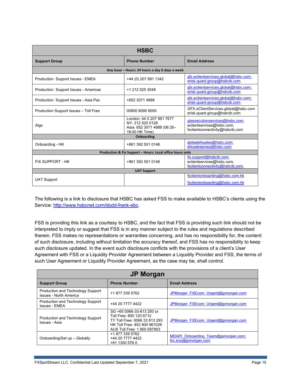| <b>HSBC</b>                                               |                                                                                                |                                                                                                |
|-----------------------------------------------------------|------------------------------------------------------------------------------------------------|------------------------------------------------------------------------------------------------|
| <b>Support Group</b>                                      | <b>Phone Number</b>                                                                            | <b>Email Address</b>                                                                           |
|                                                           | Any Issue - Hours: 24 hours a day 6 days a week                                                |                                                                                                |
| Production Support Issues - EMEA                          | +44 (0) 207 991 1342                                                                           | gfx.eclientservices.global@hsbc.com;<br>erisk.quant.group@hsbcib.com                           |
| Production Support Issues - Americas                      | +1 212 525 3048                                                                                | gfx.eclientservices.global@hsbc.com;<br>erisk.quant.group@hsbcib.com                           |
| Production Support Issues - Asia Pac                      | +852 3071 4888                                                                                 | gfx.eclientservices.global@hsbc.com;<br>erisk.quant.group@hsbcib.com                           |
| Production Support Issues - Toll Free                     | 00800 8090 8000                                                                                | GFX.eClientServices.global@hsbc.com<br>erisk.quant.group@hsbcib.com                            |
| Algo                                                      | London: 44 0 207 991 7677<br>NY: 212 525 0128<br>Asia: 852 3071 4888 (06:30-<br>18:00 HK Time) | gisexecutionservices@hsbc.com.<br>eclientservices@hsbc.com,<br>fxclientconnectivity@hsbcib.com |
|                                                           | Onboarding                                                                                     |                                                                                                |
| Onboarding - HK                                           | +861 392 501 0146                                                                              | globalefxsales@hsbc.com;<br>efxsalesemea@hsbc.com                                              |
| Production & Fix Support - Hours: Local office hours only |                                                                                                |                                                                                                |
| <b>FIX SUPPORT - HK</b>                                   | +861 392 501 0146                                                                              | fix.support@hsbcib.com,<br>eclientservices@hsbc.com,<br>fxclientconnectivity@hsbcib.com.       |
| <b>UAT Support</b>                                        |                                                                                                |                                                                                                |
| <b>UAT Support</b>                                        |                                                                                                | fxclientonboarding@hsbc.com.hk<br>fxclientonboarding@hsbc.com.hk                               |

The following is a link to disclosure that HSBC has asked FSS to make available to HSBC's clients using the Service: [http://www.hsbcnet.com/dodd-frank-ebc.](http://www.hsbcnet.com/dodd-frank-ebc)

FSS is providing this link as a courtesy to HSBC, and the fact that FSS is providing such link should not be interpreted to imply or suggest that FSS is in any manner subject to the rules and regulations described therein. FSS makes no representations or warranties concerning, and has no responsibility for, the content of such disclosure, including without limitation the accuracy thereof, and FSS has no responsibility to keep such disclosure updated. In the event such disclosure conflicts with the provisions of a client's User Agreement with FSS or a Liquidity Provider Agreement between a Liquidity Provider and FSS, the terms of such User Agreement or Liquidity Provider Agreement, as the case may be, shall control.

| <b>JP Morgan</b>                                                   |                                                                                                                                                      |                                                             |
|--------------------------------------------------------------------|------------------------------------------------------------------------------------------------------------------------------------------------------|-------------------------------------------------------------|
| <b>Support Group</b>                                               | <b>Phone Number</b>                                                                                                                                  | <b>Email Address</b>                                        |
| Production and Technology Support<br><b>Issues - North America</b> | +1 877 339 5762                                                                                                                                      | JPMorgan FXEcom Urgent@jpmorgan.com                         |
| Production and Technology Support<br><b>Issues - EMEA</b>          | +44 20 7777 4422                                                                                                                                     | JPMorgan FXEcom Urgent@jpmorgan.com                         |
| Production and Technology Support<br>Issues - Asia                 | SG +65 0066-33-813 293 or<br>Toll Free: 800 120 6712<br>TY Toll Free: 0066 33 813 293<br>HK Toll Free: 852 800 961026<br>AUS Toll Free: 1 800 597903 | JPMorgan FXEcom Urgent@jpmorgan.com                         |
| Onboarding/Set up - Globally                                       | +1 877 339 5762<br>+44 20 7777 4422<br>+61 1300 576 0                                                                                                | MDAPI Onboarding Team@jpmorgan.com;<br>fxc.ecs@ipmorgan.com |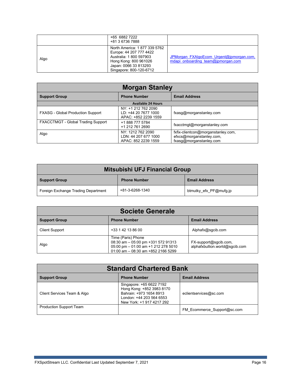|      | +65 6882 7222<br>+81 3 6736 7888                                                                                                                                |                                                                                |
|------|-----------------------------------------------------------------------------------------------------------------------------------------------------------------|--------------------------------------------------------------------------------|
| Algo | North America: 1877 339 5762<br>Europe: 44 207 777 4422<br>Australia: 1 800 597903<br>Hong Kong: 800 961026<br>Japan: 0066 33 813293<br>Singapore: 800-120-6712 | JPMorgan FXAlgoEcom Urgent@jpmorgan.com,<br>mdapi onboarding team@jpmorgan.com |

| <b>Morgan Stanley</b>                     |                                                                     |                                                                                           |
|-------------------------------------------|---------------------------------------------------------------------|-------------------------------------------------------------------------------------------|
| <b>Support Group</b>                      | <b>Phone Number</b>                                                 | <b>Email Address</b>                                                                      |
|                                           | <b>Available 24 Hours</b>                                           |                                                                                           |
| <b>FXASG - Global Production Support</b>  | NY: +1 212 762 2090<br>LD: +44 20 7677 1000<br>APAC: +852 2239 1559 | fxasg@morganstanley.com                                                                   |
| <b>FXACCTMGT - Global Trading Support</b> | +1 888 777 5784<br>+1 212 761 2690                                  | fxacctmgt@morganstanley.com                                                               |
| Algo                                      | NY: 1212 762 2090<br>LDN: 44 207 677 1000<br>APAC: 852 2239 1559    | fxfix-clientcon@morganstanley.com,<br>efxcs@morganstanley.com,<br>fxasq@morganstanley.com |

| Mitsubishi UFJ Financial Group      |                     |                        |
|-------------------------------------|---------------------|------------------------|
| Support Group                       | <b>Phone Number</b> | <b>Email Address</b>   |
| Foreign Exchange Trading Department | +81-3-6268-1340     | btmutky efx PF@mufg.jp |

| <b>Societe Generale</b> |                                                                                                                                            |                                                         |
|-------------------------|--------------------------------------------------------------------------------------------------------------------------------------------|---------------------------------------------------------|
| <b>Support Group</b>    | <b>Phone Number</b>                                                                                                                        | <b>Email Address</b>                                    |
| <b>Client Support</b>   | +33 1 42 13 86 00                                                                                                                          | Alphafx@sgcib.com                                       |
| Algo                    | Time (Paris) Phone<br>08:30 am - 05:00 pm +331 572 91313<br>05:00 pm - 01:00 am +1 212 278 5010<br>$01:00$ am $-08:30$ am $+852$ 2166 5299 | FX-support@sgcib.com,<br>alphafxbullion.world@sqcib.com |

| <b>Standard Chartered Bank</b> |                                                                                                                                           |                             |  |
|--------------------------------|-------------------------------------------------------------------------------------------------------------------------------------------|-----------------------------|--|
| <b>Support Group</b>           | <b>Phone Number</b>                                                                                                                       | <b>Email Address</b>        |  |
| Client Services Team & Algo    | Singapore: +65 6622 7192<br>Hong Kong: +852 3983 8170<br>Bahrain: +973 1654 8913<br>London: +44 203 564 6553<br>New York: +1 917 4217 292 | eclientservices@sc.com      |  |
| <b>Production Support Team</b> |                                                                                                                                           | FM Ecommerce Support@sc.com |  |